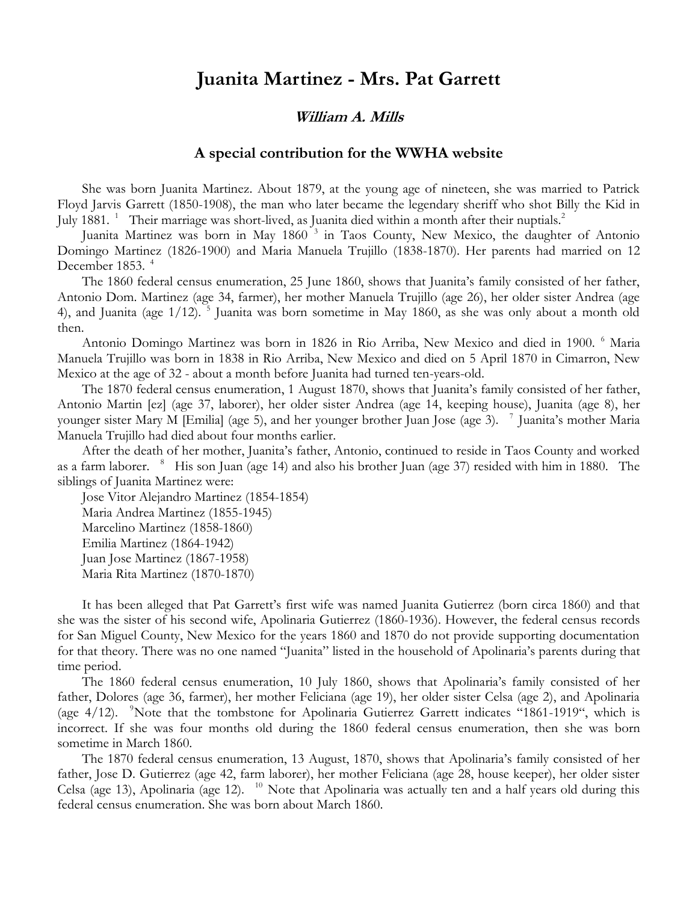## **Juanita Martinez - Mrs. Pat Garrett**

## **William A. Mills**

## **A special contribution for the WWHA website**

She was born Juanita Martinez. About 1879, at the young age of nineteen, she was married to Patrick Floyd Jarvis Garrett (1850-1908), the man who later became the legendary sheriff who shot Billy the Kid in July 1881. <sup>1</sup> Their marriage was short-lived, as Juanita died within a month after their nuptials.<sup>2</sup>

Juanita Martinez was born in May 1860<sup>3</sup> in Taos County, New Mexico, the daughter of Antonio Domingo Martinez (1826-1900) and Maria Manuela Trujillo (1838-1870). Her parents had married on 12 December 1853.<sup>4</sup>

The 1860 federal census enumeration, 25 June 1860, shows that Juanita's family consisted of her father, Antonio Dom. Martinez (age 34, farmer), her mother Manuela Trujillo (age 26), her older sister Andrea (age 4), and Juanita (age 1/12). <sup>5</sup> Juanita was born sometime in May 1860, as she was only about a month old then.

Antonio Domingo Martinez was born in 1826 in Rio Arriba, New Mexico and died in 1900. <sup>6</sup> Maria Manuela Trujillo was born in 1838 in Rio Arriba, New Mexico and died on 5 April 1870 in Cimarron, New Mexico at the age of 32 - about a month before Juanita had turned ten-years-old.

The 1870 federal census enumeration, 1 August 1870, shows that Juanita's family consisted of her father, Antonio Martin [ez] (age 37, laborer), her older sister Andrea (age 14, keeping house), Juanita (age 8), her younger sister Mary M [Emilia] (age 5), and her younger brother Juan Jose (age 3). <sup>7</sup> Juanita's mother Maria Manuela Trujillo had died about four months earlier.

After the death of her mother, Juanita's father, Antonio, continued to reside in Taos County and worked as a farm laborer. <sup>8</sup> His son Juan (age 14) and also his brother Juan (age 37) resided with him in 1880. The siblings of Juanita Martinez were:

Jose Vitor Alejandro Martinez (1854-1854) Maria Andrea Martinez (1855-1945) Marcelino Martinez (1858-1860) Emilia Martinez (1864-1942) Juan Jose Martinez (1867-1958) Maria Rita Martinez (1870-1870)

It has been alleged that Pat Garrett's first wife was named Juanita Gutierrez (born circa 1860) and that she was the sister of his second wife, Apolinaria Gutierrez (1860-1936). However, the federal census records for San Miguel County, New Mexico for the years 1860 and 1870 do not provide supporting documentation for that theory. There was no one named "Juanita" listed in the household of Apolinaria's parents during that time period.

The 1860 federal census enumeration, 10 July 1860, shows that Apolinaria's family consisted of her father, Dolores (age 36, farmer), her mother Feliciana (age 19), her older sister Celsa (age 2), and Apolinaria (age  $4/12$ ). <sup>9</sup>Note that the tombstone for Apolinaria Gutierrez Garrett indicates "1861-1919", which is incorrect. If she was four months old during the 1860 federal census enumeration, then she was born sometime in March 1860.

The 1870 federal census enumeration, 13 August, 1870, shows that Apolinaria's family consisted of her father, Jose D. Gutierrez (age 42, farm laborer), her mother Feliciana (age 28, house keeper), her older sister Celsa (age 13), Apolinaria (age 12). <sup>10</sup> Note that Apolinaria was actually ten and a half years old during this federal census enumeration. She was born about March 1860.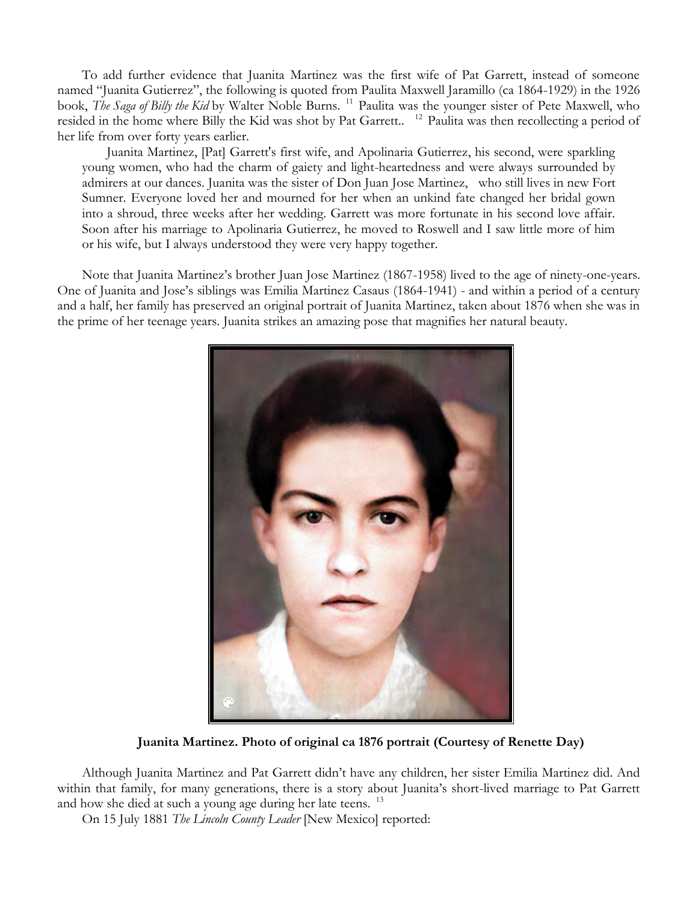To add further evidence that Juanita Martinez was the first wife of Pat Garrett, instead of someone named "Juanita Gutierrez", the following is quoted from Paulita Maxwell Jaramillo (ca 1864-1929) in the 1926 book, *The Saga of Billy the Kid* by Walter Noble Burns. <sup>11</sup> Paulita was the younger sister of Pete Maxwell, who resided in the home where Billy the Kid was shot by Pat Garrett.. <sup>12</sup> Paulita was then recollecting a period of her life from over forty years earlier.

Juanita Martinez, [Pat] Garrett's first wife, and Apolinaria Gutierrez, his second, were sparkling young women, who had the charm of gaiety and light-heartedness and were always surrounded by admirers at our dances. Juanita was the sister of Don Juan Jose Martinez, who still lives in new Fort Sumner. Everyone loved her and mourned for her when an unkind fate changed her bridal gown into a shroud, three weeks after her wedding. Garrett was more fortunate in his second love affair. Soon after his marriage to Apolinaria Gutierrez, he moved to Roswell and I saw little more of him or his wife, but I always understood they were very happy together.

Note that Juanita Martinez's brother Juan Jose Martinez (1867-1958) lived to the age of ninety-one-years. One of Juanita and Jose's siblings was Emilia Martinez Casaus (1864-1941) - and within a period of a century and a half, her family has preserved an original portrait of Juanita Martinez, taken about 1876 when she was in the prime of her teenage years. Juanita strikes an amazing pose that magnifies her natural beauty.



**Juanita Martinez. Photo of original ca 1876 portrait (Courtesy of Renette Day)**

Although Juanita Martinez and Pat Garrett didn't have any children, her sister Emilia Martinez did. And within that family, for many generations, there is a story about Juanita's short-lived marriage to Pat Garrett and how she died at such a young age during her late teens.<sup>13</sup>

On 15 July 1881 *The Lincoln County Leader* [New Mexico] reported: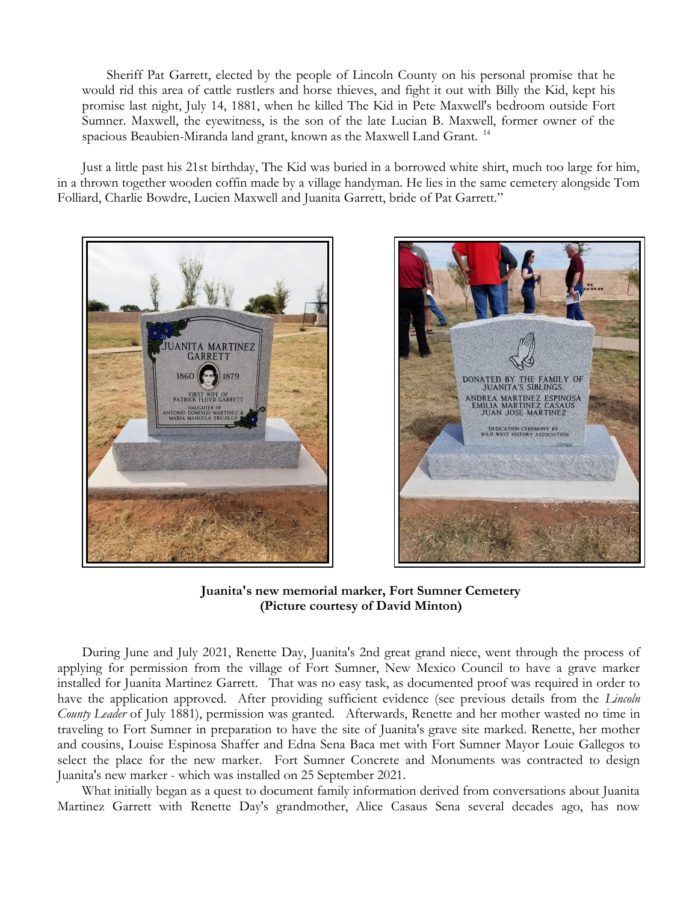Sheriff Pat Garrett, elected by the people of Lincoln County on his personal promise that he would rid this area of cattle rustlers and horse thieves, and fight it out with Billy the Kid, kept his promise last night, July 14, 1881, when he killed The Kid in Pete Maxwell's bedroom outside Fort Sumner. Maxwell, the eyewitness, is the son of the late Lucian B. Maxwell, former owner of the spacious Beaubien-Miranda land grant, known as the Maxwell Land Grant. <sup>14</sup>

Just a little past his 21st birthday, The Kid was buried in a borrowed white shirt, much too large for him, in a thrown together wooden coffin made by a village handyman. He lies in the same cemetery alongside Tom Folliard, Charlie Bowdre, Lucien Maxwell and Juanita Garrett, bride of Pat Garrett."





**Juanita's new memorial marker, Fort Sumner Cemetery (Picture courtesy of David Minton)**

During June and July 2021, Renette Day, Juanita's 2nd great grand niece, went through the process of applying for permission from the village of Fort Sumner, New Mexico Council to have a grave marker installed for Juanita Martinez Garrett. That was no easy task, as documented proof was required in order to have the application approved. After providing sufficient evidence (see previous details from the *Lincoln County Leader* of July 1881), permission was granted. Afterwards, Renette and her mother wasted no time in traveling to Fort Sumner in preparation to have the site of Juanita's grave site marked. Renette, her mother and cousins, Louise Espinosa Shaffer and Edna Sena Baca met with Fort Sumner Mayor Louie Gallegos to select the place for the new marker. Fort Sumner Concrete and Monuments was contracted to design Juanita's new marker - which was installed on 25 September 2021.

What initially began as a quest to document family information derived from conversations about Juanita Martinez Garrett with Renette Day's grandmother, Alice Casaus Sena several decades ago, has now